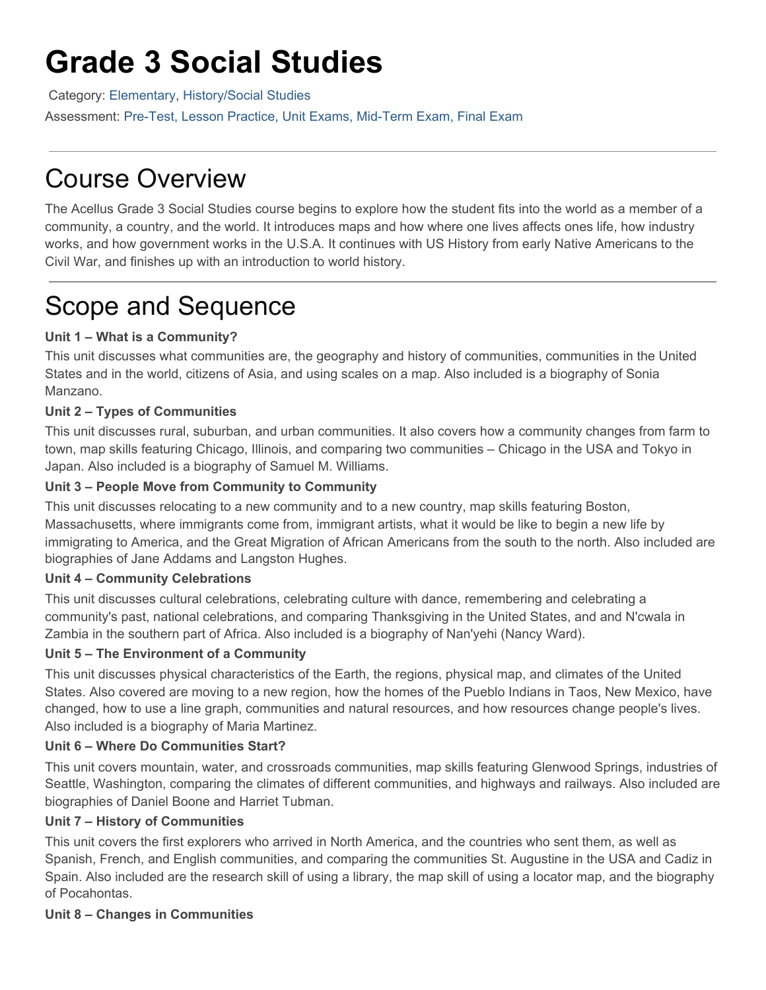# **Grade 3 Social Studies**

Category: [Elementary](https://www.science.edu/acellus/course-category/elementary/), [History/Social Studies](https://www.science.edu/acellus/course-category/elementary/historysocial-studies-el/)

Assessment: Pre-Test, Lesson Practice, Unit Exams, Mid-Term Exam, Final Exam

# Course Overview

The Acellus Grade 3 Social Studies course begins to explore how the student fits into the world as a member of a community, a country, and the world. It introduces maps and how where one lives affects ones life, how industry works, and how government works in the U.S.A. It continues with US History from early Native Americans to the Civil War, and finishes up with an introduction to world history.

# Scope and Sequence

## **Unit 1 – What is a Community?**

This unit discusses what communities are, the geography and history of communities, communities in the United States and in the world, citizens of Asia, and using scales on a map. Also included is a biography of Sonia Manzano.

## **Unit 2 – Types of Communities**

This unit discusses rural, suburban, and urban communities. It also covers how a community changes from farm to town, map skills featuring Chicago, Illinois, and comparing two communities – Chicago in the USA and Tokyo in Japan. Also included is a biography of Samuel M. Williams.

### **Unit 3 – People Move from Community to Community**

This unit discusses relocating to a new community and to a new country, map skills featuring Boston, Massachusetts, where immigrants come from, immigrant artists, what it would be like to begin a new life by immigrating to America, and the Great Migration of African Americans from the south to the north. Also included are biographies of Jane Addams and Langston Hughes.

#### **Unit 4 – Community Celebrations**

This unit discusses cultural celebrations, celebrating culture with dance, remembering and celebrating a community's past, national celebrations, and comparing Thanksgiving in the United States, and and N'cwala in Zambia in the southern part of Africa. Also included is a biography of Nan'yehi (Nancy Ward).

#### **Unit 5 – The Environment of a Community**

This unit discusses physical characteristics of the Earth, the regions, physical map, and climates of the United States. Also covered are moving to a new region, how the homes of the Pueblo Indians in Taos, New Mexico, have changed, how to use a line graph, communities and natural resources, and how resources change people's lives. Also included is a biography of Maria Martinez.

#### **Unit 6 – Where Do Communities Start?**

This unit covers mountain, water, and crossroads communities, map skills featuring Glenwood Springs, industries of Seattle, Washington, comparing the climates of different communities, and highways and railways. Also included are biographies of Daniel Boone and Harriet Tubman.

#### **Unit 7 – History of Communities**

This unit covers the first explorers who arrived in North America, and the countries who sent them, as well as Spanish, French, and English communities, and comparing the communities St. Augustine in the USA and Cadiz in Spain. Also included are the research skill of using a library, the map skill of using a locator map, and the biography of Pocahontas.

# **Unit 8 – Changes in Communities**